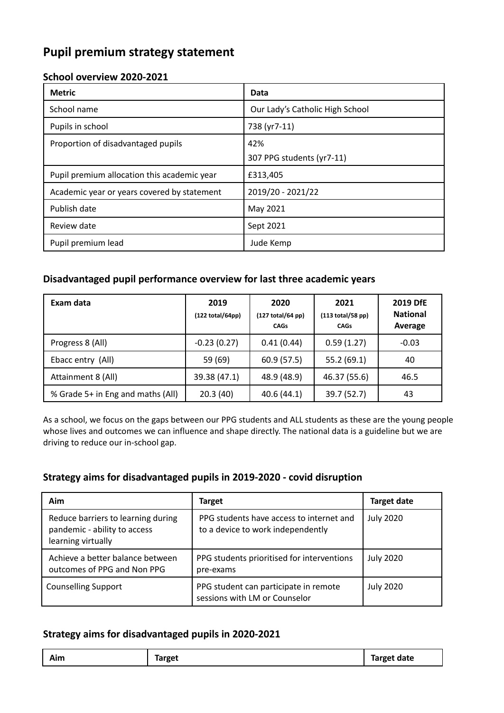## **Pupil premium strategy statement**

### **School overview 2020-2021**

| <b>Metric</b>                               | Data                            |
|---------------------------------------------|---------------------------------|
| School name                                 | Our Lady's Catholic High School |
| Pupils in school                            | 738 (yr7-11)                    |
| Proportion of disadvantaged pupils          | 42%                             |
|                                             | 307 PPG students (yr7-11)       |
| Pupil premium allocation this academic year | £313,405                        |
| Academic year or years covered by statement | 2019/20 - 2021/22               |
| Publish date                                | May 2021                        |
| Review date                                 | Sept 2021                       |
| Pupil premium lead                          | Jude Kemp                       |

### **Disadvantaged pupil performance overview for last three academic years**

| Exam data                         | 2019<br>(122 total/64pp) | 2020<br>(127 total/64 pp)<br><b>CAGs</b> | 2021<br>$(113 \text{ total}/58 \text{ pp})$<br><b>CAGs</b> | <b>2019 DfE</b><br><b>National</b><br>Average |
|-----------------------------------|--------------------------|------------------------------------------|------------------------------------------------------------|-----------------------------------------------|
| Progress 8 (All)                  | $-0.23(0.27)$            | 0.41(0.44)                               | 0.59(1.27)                                                 | $-0.03$                                       |
| Ebacc entry (All)                 | 59 (69)                  | 60.9(57.5)                               | 55.2(69.1)                                                 | 40                                            |
| Attainment 8 (All)                | 39.38 (47.1)             | 48.9 (48.9)                              | 46.37 (55.6)                                               | 46.5                                          |
| % Grade 5+ in Eng and maths (All) | 20.3(40)                 | 40.6(44.1)                               | 39.7 (52.7)                                                | 43                                            |

As a school, we focus on the gaps between our PPG students and ALL students as these are the young people whose lives and outcomes we can influence and shape directly. The national data is a guideline but we are driving to reduce our in-school gap.

#### **Strategy aims for disadvantaged pupils in 2019-2020 - covid disruption**

| Aim                                                                                      | Target                                                                        | <b>Target date</b> |
|------------------------------------------------------------------------------------------|-------------------------------------------------------------------------------|--------------------|
| Reduce barriers to learning during<br>pandemic - ability to access<br>learning virtually | PPG students have access to internet and<br>to a device to work independently | <b>July 2020</b>   |
| Achieve a better balance between<br>outcomes of PPG and Non PPG                          | PPG students prioritised for interventions<br>pre-exams                       | <b>July 2020</b>   |
| <b>Counselling Support</b>                                                               | PPG student can participate in remote<br>sessions with LM or Counselor        | <b>July 2020</b>   |

#### **Strategy aims for disadvantaged pupils in 2020-2021**

| . .<br><b>Target</b><br>Target date<br>Aim |
|--------------------------------------------|
|--------------------------------------------|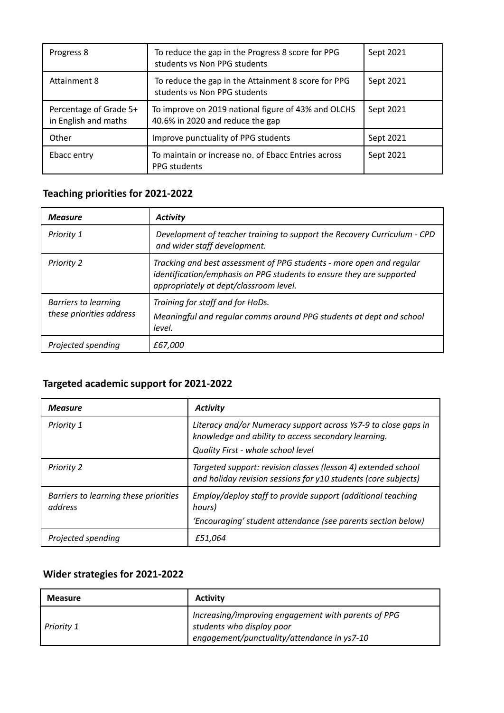| Progress 8                                     | To reduce the gap in the Progress 8 score for PPG<br>students vs Non PPG students       | Sept 2021 |
|------------------------------------------------|-----------------------------------------------------------------------------------------|-----------|
| <b>Attainment 8</b>                            | To reduce the gap in the Attainment 8 score for PPG<br>students vs Non PPG students     | Sept 2021 |
| Percentage of Grade 5+<br>in English and maths | To improve on 2019 national figure of 43% and OLCHS<br>40.6% in 2020 and reduce the gap | Sept 2021 |
| Other                                          | Improve punctuality of PPG students                                                     | Sept 2021 |
| Ebacc entry                                    | To maintain or increase no. of Ebacc Entries across<br>PPG students                     | Sept 2021 |

# **Teaching priorities for 2021-2022**

| <b>Measure</b>                                          | <b>Activity</b>                                                                                                                                                                        |
|---------------------------------------------------------|----------------------------------------------------------------------------------------------------------------------------------------------------------------------------------------|
| Priority 1                                              | Development of teacher training to support the Recovery Curriculum - CPD<br>and wider staff development.                                                                               |
| <b>Priority 2</b>                                       | Tracking and best assessment of PPG students - more open and regular<br>identification/emphasis on PPG students to ensure they are supported<br>appropriately at dept/classroom level. |
| <b>Barriers to learning</b><br>these priorities address | Training for staff and for HoDs.<br>Meaningful and regular comms around PPG students at dept and school<br>level.                                                                      |
| Projected spending                                      | £67,000                                                                                                                                                                                |

### **Targeted academic support for 2021-2022**

| <b>Measure</b>                                   | <b>Activity</b>                                                                                                                                             |
|--------------------------------------------------|-------------------------------------------------------------------------------------------------------------------------------------------------------------|
| Priority 1                                       | Literacy and/or Numeracy support across Ys7-9 to close gaps in<br>knowledge and ability to access secondary learning.<br>Quality First - whole school level |
| <b>Priority 2</b>                                | Targeted support: revision classes (lesson 4) extended school<br>and holiday revision sessions for y10 students (core subjects)                             |
| Barriers to learning these priorities<br>address | Employ/deploy staff to provide support (additional teaching<br>hours)<br>'Encouraging' student attendance (see parents section below)                       |
| Projected spending                               | £51,064                                                                                                                                                     |

# **Wider strategies for 2021-2022**

| <b>Measure</b> | <b>Activity</b>                                                                                                                 |
|----------------|---------------------------------------------------------------------------------------------------------------------------------|
| Priority 1     | Increasing/improving engagement with parents of PPG<br>students who display poor<br>engagement/punctuality/attendance in ys7-10 |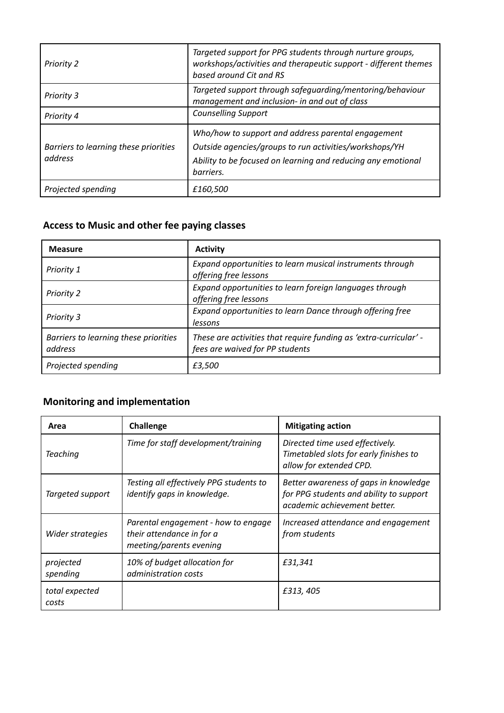| <b>Priority 2</b>                                | Targeted support for PPG students through nurture groups,<br>workshops/activities and therapeutic support - different themes<br>based around Cit and RS                                   |
|--------------------------------------------------|-------------------------------------------------------------------------------------------------------------------------------------------------------------------------------------------|
| <b>Priority 3</b>                                | Targeted support through safeguarding/mentoring/behaviour<br>management and inclusion- in and out of class                                                                                |
| Priority 4                                       | <b>Counselling Support</b>                                                                                                                                                                |
| Barriers to learning these priorities<br>address | Who/how to support and address parental engagement<br>Outside agencies/groups to run activities/workshops/YH<br>Ability to be focused on learning and reducing any emotional<br>barriers. |
| Projected spending                               | £160,500                                                                                                                                                                                  |

# **Access to Music and other fee paying classes**

| <b>Measure</b>                                   | <b>Activity</b>                                                                                      |
|--------------------------------------------------|------------------------------------------------------------------------------------------------------|
| Priority 1                                       | Expand opportunities to learn musical instruments through<br>offering free lessons                   |
| Priority 2                                       | Expand opportunities to learn foreign languages through<br>offering free lessons                     |
| Priority 3                                       | Expand opportunities to learn Dance through offering free<br>lessons                                 |
| Barriers to learning these priorities<br>address | These are activities that require funding as 'extra-curricular' -<br>fees are waived for PP students |
| Projected spending                               | £3,500                                                                                               |

# **Monitoring and implementation**

| Area                    | <b>Challenge</b>                                                                            | <b>Mitigating action</b>                                                                                         |
|-------------------------|---------------------------------------------------------------------------------------------|------------------------------------------------------------------------------------------------------------------|
| <b>Teaching</b>         | Time for staff development/training                                                         | Directed time used effectively.<br>Timetabled slots for early finishes to<br>allow for extended CPD.             |
| Targeted support        | Testing all effectively PPG students to<br>identify gaps in knowledge.                      | Better awareness of gaps in knowledge<br>for PPG students and ability to support<br>academic achievement better. |
| Wider strategies        | Parental engagement - how to engage<br>their attendance in for a<br>meeting/parents evening | Increased attendance and engagement<br>from students                                                             |
| projected<br>spending   | 10% of budget allocation for<br>administration costs                                        | £31,341                                                                                                          |
| total expected<br>costs |                                                                                             | £313, 405                                                                                                        |